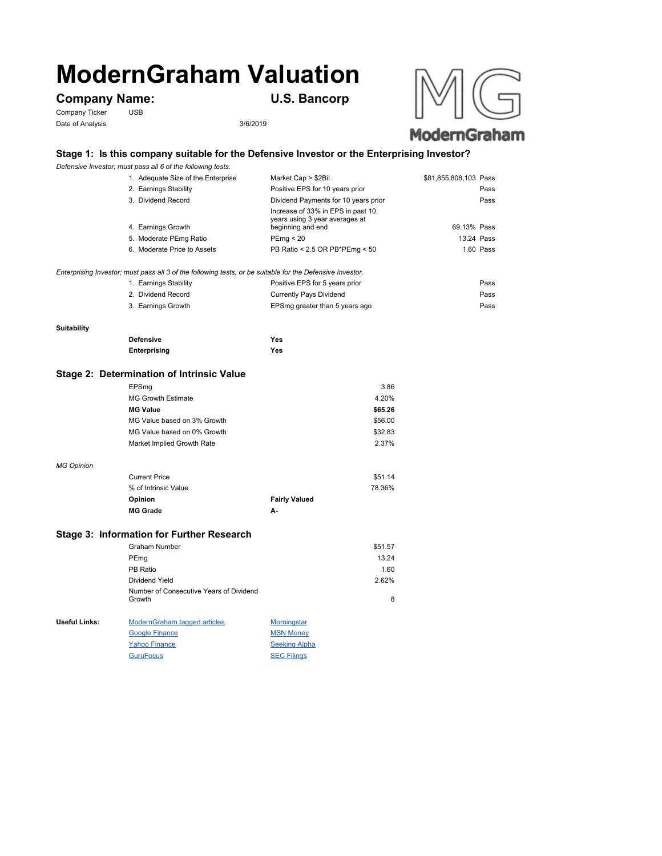# **ModernGraham Valuation**

## **Company Name: U.S. Bancorp**

Company Ticker USB Date of Analysis 3/6/2019



#### **Stage 1: Is this company suitable for the Defensive Investor or the Enterprising Investor?**

*Defensive Investor; must pass all 6 of the following tests.*

| 1. Adequate Size of the Enterprise                                                                        | Market Cap > \$2Bil                                                                      | \$81,855,808,103 Pass |            |
|-----------------------------------------------------------------------------------------------------------|------------------------------------------------------------------------------------------|-----------------------|------------|
| 2. Earnings Stability                                                                                     | Positive EPS for 10 years prior                                                          |                       | Pass       |
| 3. Dividend Record                                                                                        | Dividend Payments for 10 years prior                                                     |                       | Pass       |
| 4. Earnings Growth                                                                                        | Increase of 33% in EPS in past 10<br>years using 3 year averages at<br>beginning and end | 69.13% Pass           |            |
| 5. Moderate PEmg Ratio                                                                                    | PEmq < 20                                                                                |                       | 13.24 Pass |
| 6. Moderate Price to Assets                                                                               | PB Ratio < 2.5 OR PB*PEmg < 50                                                           |                       | 1.60 Pass  |
| Enterprising Investor; must pass all 3 of the following tests, or be suitable for the Defensive Investor. |                                                                                          |                       |            |
| 1. Earnings Stability                                                                                     | Positive EPS for 5 years prior                                                           |                       | Pass       |

| 1. Earnings Stability | POSItive EPS for 5 years prior | Pass |
|-----------------------|--------------------------------|------|
| 2. Dividend Record    | Currently Pays Dividend        | Pass |
| 3. Earnings Growth    | EPSmg greater than 5 years ago | Pass |

#### **Suitability**

*MG Opinion*

| <b>Defensive</b> | Yes |
|------------------|-----|
| Enterprising     | Yes |

## **Stage 2: Determination of Intrinsic Value**

| EPSmg                       | 3.86    |
|-----------------------------|---------|
| <b>MG Growth Estimate</b>   | 4.20%   |
| <b>MG Value</b>             | \$65.26 |
| MG Value based on 3% Growth | \$56.00 |
| MG Value based on 0% Growth | \$32.83 |
| Market Implied Growth Rate  | 2.37%   |
|                             |         |
|                             |         |
| $O$ and $H$ $O$ and $H$     | 0.001A  |

| <b>Current Price</b> |                      | \$51.14 |
|----------------------|----------------------|---------|
| % of Intrinsic Value |                      | 78.36%  |
| <b>Opinion</b>       | <b>Fairly Valued</b> |         |
| <b>MG Grade</b>      | А-                   |         |

## **Stage 3: Information for Further Research**

|               | Graham Number                                     |                    | \$51.57 |
|---------------|---------------------------------------------------|--------------------|---------|
|               | PEmg                                              |                    | 13.24   |
|               | PB Ratio                                          |                    | 1.60    |
|               | Dividend Yield                                    |                    | 2.62%   |
|               | Number of Consecutive Years of Dividend<br>Growth |                    | 8       |
| Useful Links: | <b>ModernGraham tagged articles</b>               | <b>Morningstar</b> |         |
|               | <b>Google Finance</b>                             | <b>MSN Money</b>   |         |

| <b>OUGHT I THATICO</b> | <b>IVIOIY IVIOIIUY</b> |
|------------------------|------------------------|
| <b>Yahoo Finance</b>   | <b>Seeking Alpha</b>   |
| <b>GuruFocus</b>       | <b>SEC Filings</b>     |
|                        |                        |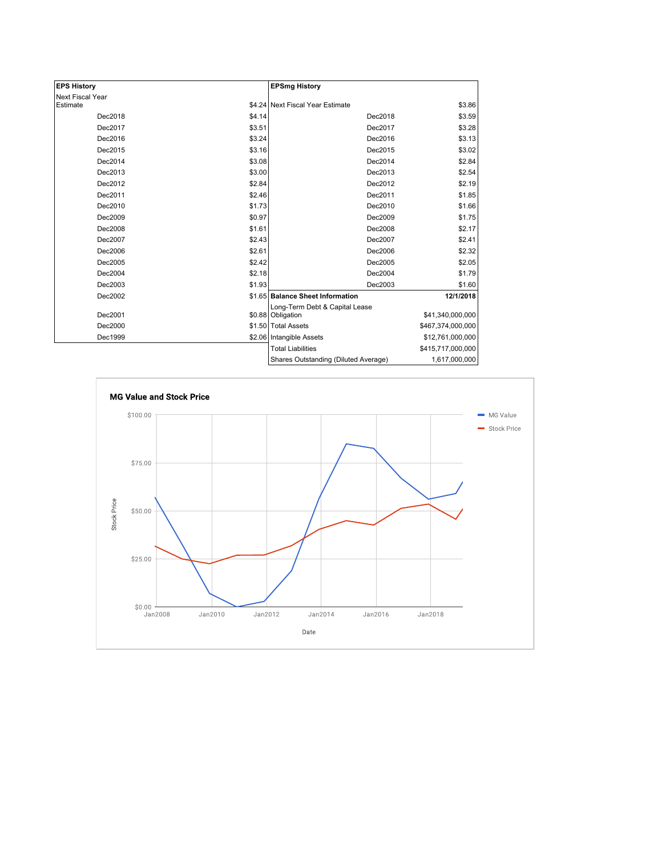| <b>EPS History</b> |        | <b>EPSmg History</b>                 |                   |
|--------------------|--------|--------------------------------------|-------------------|
| Next Fiscal Year   |        |                                      |                   |
| Estimate           |        | \$4.24 Next Fiscal Year Estimate     | \$3.86            |
| Dec2018            | \$4.14 | Dec2018                              | \$3.59            |
| Dec2017            | \$3.51 | Dec2017                              | \$3.28            |
| Dec2016            | \$3.24 | Dec2016                              | \$3.13            |
| Dec2015            | \$3.16 | Dec2015                              | \$3.02            |
| Dec2014            | \$3.08 | Dec2014                              | \$2.84            |
| Dec2013            | \$3.00 | Dec2013                              | \$2.54            |
| Dec2012            | \$2.84 | Dec2012                              | \$2.19            |
| Dec2011            | \$2.46 | Dec2011                              | \$1.85            |
| Dec2010            | \$1.73 | Dec2010                              | \$1.66            |
| Dec2009            | \$0.97 | Dec2009                              | \$1.75            |
| Dec2008            | \$1.61 | Dec2008                              | \$2.17            |
| Dec2007            | \$2.43 | Dec2007                              | \$2.41            |
| Dec2006            | \$2.61 | Dec2006                              | \$2.32            |
| Dec2005            | \$2.42 | Dec2005                              | \$2.05            |
| Dec2004            | \$2.18 | Dec2004                              | \$1.79            |
| Dec2003            | \$1.93 | Dec2003                              | \$1.60            |
| Dec2002            |        | \$1.65 Balance Sheet Information     | 12/1/2018         |
|                    |        | Long-Term Debt & Capital Lease       |                   |
| Dec2001            |        | \$0.88 Obligation                    | \$41,340,000,000  |
| Dec2000            |        | \$1.50 Total Assets                  | \$467,374,000,000 |
| Dec1999            |        | \$2.06 Intangible Assets             | \$12,761,000,000  |
|                    |        | <b>Total Liabilities</b>             | \$415,717,000,000 |
|                    |        | Shares Outstanding (Diluted Average) | 1,617,000,000     |